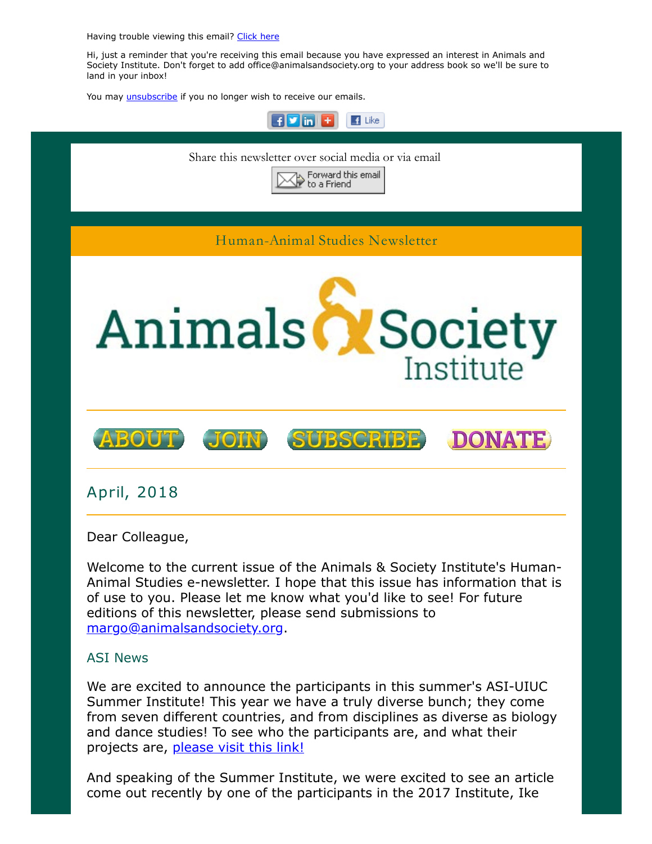Having trouble viewing this email? [Click here](http://campaign.r20.constantcontact.com/render?ca=8ab24c76-105d-4b02-bba7-fb6894e21add&preview=true&m=1117082078075&id=preview)

Hi, just a reminder that you're receiving this email because you have expressed an interest in Animals and Society Institute. Don't forget to add office@animalsandsociety.org to your address book so we'll be sure to land in your inbox!

You may *unsubscribe* if you no longer wish to receive our emails.



Welcome to the current issue of the Animals & Society Institute's Human-Animal Studies e-newsletter. I hope that this issue has information that is of use to you. Please let me know what you'd like to see! For future editions of this newsletter, please send submissions to [margo@animalsandsociety.org](mailto:margo@animalsandsociety.org).

### ASI News

We are excited to announce the participants in this summer's ASI-UIUC Summer Institute! This year we have a truly diverse bunch; they come from seven different countries, and from disciplines as diverse as biology and dance studies! To see who the participants are, and what their projects are, [please visit this link!](https://www.animalsandsociety.org/news/meet-the-2018-summer-institute-participants/)

And speaking of the Summer Institute, we were excited to see an article come out recently by one of the participants in the 2017 Institute, Ike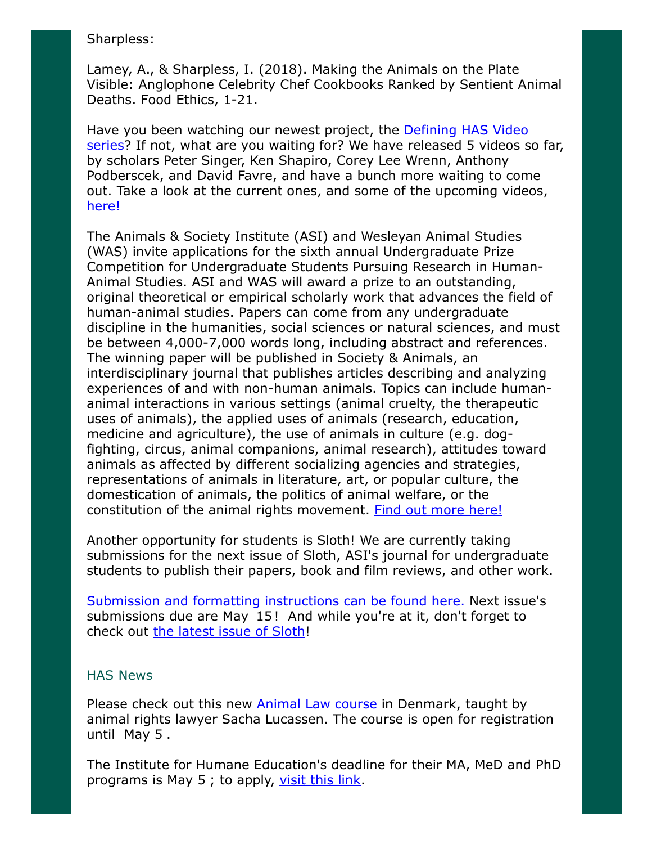#### Sharpless:

Lamey, A., & Sharpless, I. (2018). Making the Animals on the Plate Visible: Anglophone Celebrity Chef Cookbooks Ranked by Sentient Animal Deaths. Food Ethics, 1-21.

[Have you been watching our newest project, the Defining HAS Video](https://www.animalsandsociety.org/human-animal-studies/defining-human-animal-studies-an-asi-video-project/) series? If not, what are you waiting for? We have released 5 videos so far, by scholars Peter Singer, Ken Shapiro, Corey Lee Wrenn, Anthony Podberscek, and David Favre, and have a bunch more waiting to come out. Take a look at the current ones, and some of the upcoming videos, [here!](https://www.animalsandsociety.org/human-animal-studies/defining-human-animal-studies-an-asi-video-project/)

The Animals & Society Institute (ASI) and Wesleyan Animal Studies (WAS) invite applications for the sixth annual Undergraduate Prize Competition for Undergraduate Students Pursuing Research in Human-Animal Studies. ASI and WAS will award a prize to an outstanding, original theoretical or empirical scholarly work that advances the field of human-animal studies. Papers can come from any undergraduate discipline in the humanities, social sciences or natural sciences, and must be between 4,000-7,000 words long, including abstract and references. The winning paper will be published in Society & Animals, an interdisciplinary journal that publishes articles describing and analyzing experiences of and with non-human animals. Topics can include humananimal interactions in various settings (animal cruelty, the therapeutic uses of animals), the applied uses of animals (research, education, medicine and agriculture), the use of animals in culture (e.g. dogfighting, circus, animal companions, animal research), attitudes toward animals as affected by different socializing agencies and strategies, representations of animals in literature, art, or popular culture, the domestication of animals, the politics of animal welfare, or the constitution of the animal rights movement. [Find out more here!](https://www.animalsandsociety.org/call-for-submissions-asi-was-undergraduate-paper-prize-in-human-animal-studies/)

Another opportunity for students is Sloth! We are currently taking submissions for the next issue of Sloth, ASI's journal for undergraduate students to publish their papers, book and film reviews, and other work.

[Submission and formatting instructions can be found here.](https://www.animalsandsociety.org/human-animal-studies/sloth/sloth-submission-information/) Next issue's submissions due are May 15! And while you're at it, don't forget to check out [the latest issue of Sloth!](https://www.animalsandsociety.org/human-animal-studies/sloth/sloth-volume-4-no-1-winter-2018/)

#### HAS News

Please check out this new **Animal Law course** in Denmark, taught by animal rights lawyer Sacha Lucassen. The course is open for registration until May 5 .

The Institute for Humane Education's deadline for their MA, MeD and PhD programs is May 5 ; to apply, [visit this link.](http://humaneeducation.org/graduate-programs/)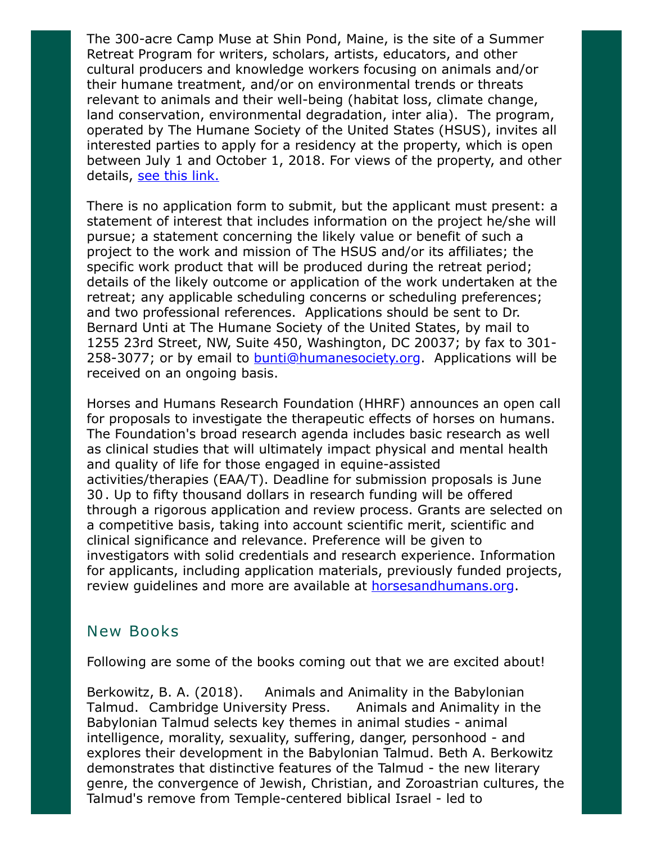The 300-acre Camp Muse at Shin Pond, Maine, is the site of a Summer Retreat Program for writers, scholars, artists, educators, and other cultural producers and knowledge workers focusing on animals and/or their humane treatment, and/or on environmental trends or threats relevant to animals and their well-being (habitat loss, climate change, land conservation, environmental degradation, inter alia). The program, operated by The Humane Society of the United States (HSUS), invites all interested parties to apply for a residency at the property, which is open between July 1 and October 1, 2018. For views of the property, and other details, [see this link.](http://www.humanesociety.org/about/departments/shin_pond_retreat.html)

There is no application form to submit, but the applicant must present: a statement of interest that includes information on the project he/she will pursue; a statement concerning the likely value or benefit of such a project to the work and mission of The HSUS and/or its affiliates; the specific work product that will be produced during the retreat period; details of the likely outcome or application of the work undertaken at the retreat; any applicable scheduling concerns or scheduling preferences; and two professional references. Applications should be sent to Dr. Bernard Unti at The Humane Society of the United States, by mail to 1255 23rd Street, NW, Suite 450, Washington, DC 20037; by fax to 301- 258-3077; or by email to **bunti@humanesociety.org.** Applications will be received on an ongoing basis.

Horses and Humans Research Foundation (HHRF) announces an open call for proposals to investigate the therapeutic effects of horses on humans. The Foundation's broad research agenda includes basic research as well as clinical studies that will ultimately impact physical and mental health and quality of life for those engaged in equine-assisted activities/therapies (EAA/T). Deadline for submission proposals is June 30 . Up to fifty thousand dollars in research funding will be offered through a rigorous application and review process. Grants are selected on a competitive basis, taking into account scientific merit, scientific and clinical significance and relevance. Preference will be given to investigators with solid credentials and research experience. Information for applicants, including application materials, previously funded projects, review guidelines and more are available at **horsesandhumans.org**.

## New Books

Following are some of the books coming out that we are excited about!

Berkowitz, B. A. (2018). Animals and Animality in the Babylonian Talmud. Cambridge University Press. Animals and Animality in the Babylonian Talmud selects key themes in animal studies - animal intelligence, morality, sexuality, suffering, danger, personhood - and explores their development in the Babylonian Talmud. Beth A. Berkowitz demonstrates that distinctive features of the Talmud - the new literary genre, the convergence of Jewish, Christian, and Zoroastrian cultures, the Talmud's remove from Temple-centered biblical Israel - led to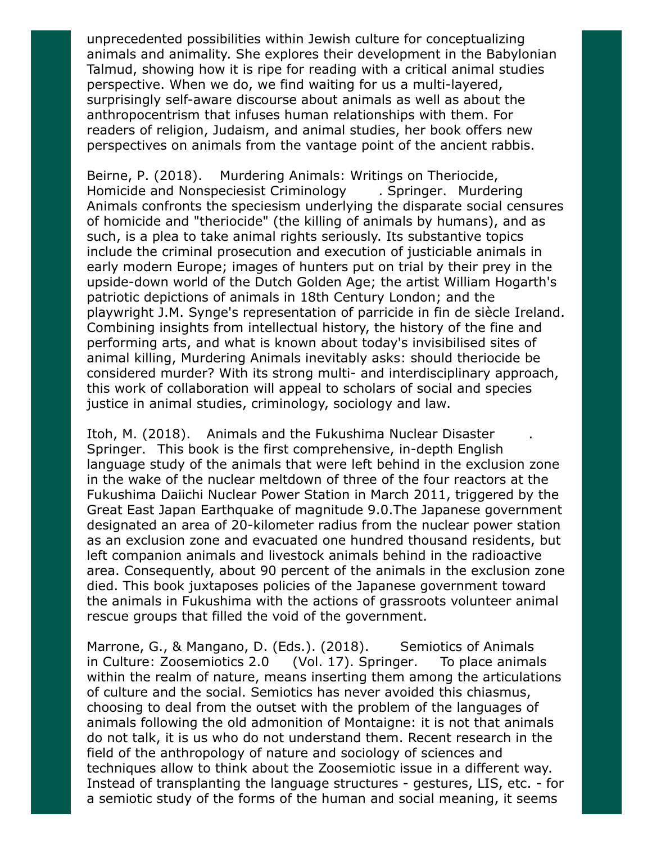unprecedented possibilities within Jewish culture for conceptualizing animals and animality. She explores their development in the Babylonian Talmud, showing how it is ripe for reading with a critical animal studies perspective. When we do, we find waiting for us a multi-layered, surprisingly self-aware discourse about animals as well as about the anthropocentrism that infuses human relationships with them. For readers of religion, Judaism, and animal studies, her book offers new perspectives on animals from the vantage point of the ancient rabbis.

Beirne, P. (2018). Murdering Animals: Writings on Theriocide, Homicide and Nonspeciesist Criminology . Springer. Murdering Animals confronts the speciesism underlying the disparate social censures of homicide and "theriocide" (the killing of animals by humans), and as such, is a plea to take animal rights seriously. Its substantive topics include the criminal prosecution and execution of justiciable animals in early modern Europe; images of hunters put on trial by their prey in the upside-down world of the Dutch Golden Age; the artist William Hogarth's patriotic depictions of animals in 18th Century London; and the playwright J.M. Synge's representation of parricide in fin de siècle Ireland. Combining insights from intellectual history, the history of the fine and performing arts, and what is known about today's invisibilised sites of animal killing, Murdering Animals inevitably asks: should theriocide be considered murder? With its strong multi- and interdisciplinary approach, this work of collaboration will appeal to scholars of social and species justice in animal studies, criminology, sociology and law.

Itoh, M. (2018). Animals and the Fukushima Nuclear Disaster . Springer. This book is the first comprehensive, in-depth English language study of the animals that were left behind in the exclusion zone in the wake of the nuclear meltdown of three of the four reactors at the Fukushima Daiichi Nuclear Power Station in March 2011, triggered by the Great East Japan Earthquake of magnitude 9.0.The Japanese government designated an area of 20-kilometer radius from the nuclear power station as an exclusion zone and evacuated one hundred thousand residents, but left companion animals and livestock animals behind in the radioactive area. Consequently, about 90 percent of the animals in the exclusion zone died. This book juxtaposes policies of the Japanese government toward the animals in Fukushima with the actions of grassroots volunteer animal rescue groups that filled the void of the government.

Marrone, G., & Mangano, D. (Eds.). (2018). Semiotics of Animals in Culture: Zoosemiotics 2.0 (Vol. 17). Springer. To place animals within the realm of nature, means inserting them among the articulations of culture and the social. Semiotics has never avoided this chiasmus, choosing to deal from the outset with the problem of the languages of animals following the old admonition of Montaigne: it is not that animals do not talk, it is us who do not understand them. Recent research in the field of the anthropology of nature and sociology of sciences and techniques allow to think about the Zoosemiotic issue in a different way. Instead of transplanting the language structures - gestures, LIS, etc. - for a semiotic study of the forms of the human and social meaning, it seems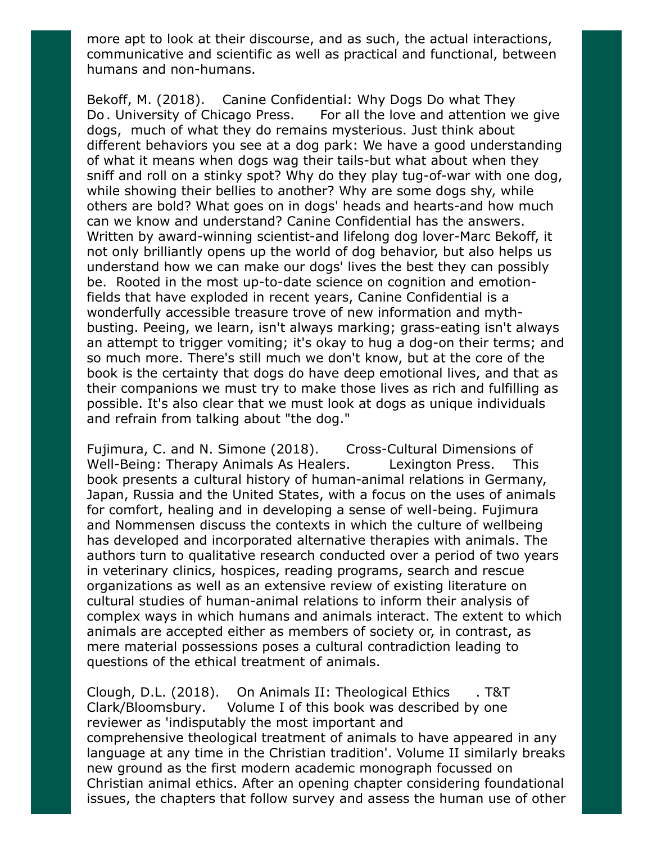more apt to look at their discourse, and as such, the actual interactions, communicative and scientific as well as practical and functional, between humans and non-humans.

Bekoff, M. (2018). Canine Confidential: Why Dogs Do what They Do. University of Chicago Press. For all the love and attention we give dogs, much of what they do remains mysterious. Just think about different behaviors you see at a dog park: We have a good understanding of what it means when dogs wag their tails-but what about when they sniff and roll on a stinky spot? Why do they play tug-of-war with one dog, while showing their bellies to another? Why are some dogs shy, while others are bold? What goes on in dogs' heads and hearts-and how much can we know and understand? Canine Confidential has the answers. Written by award-winning scientist-and lifelong dog lover-Marc Bekoff, it not only brilliantly opens up the world of dog behavior, but also helps us understand how we can make our dogs' lives the best they can possibly be. Rooted in the most up-to-date science on cognition and emotionfields that have exploded in recent years, Canine Confidential is a wonderfully accessible treasure trove of new information and mythbusting. Peeing, we learn, isn't always marking; grass-eating isn't always an attempt to trigger vomiting; it's okay to hug a dog-on their terms; and so much more. There's still much we don't know, but at the core of the book is the certainty that dogs do have deep emotional lives, and that as their companions we must try to make those lives as rich and fulfilling as possible. It's also clear that we must look at dogs as unique individuals and refrain from talking about "the dog."

Fujimura, C. and N. Simone (2018). Cross-Cultural Dimensions of Well-Being: Therapy Animals As Healers. Lexington Press. This book presents a cultural history of human-animal relations in Germany, Japan, Russia and the United States, with a focus on the uses of animals for comfort, healing and in developing a sense of well-being. Fujimura and Nommensen discuss the contexts in which the culture of wellbeing has developed and incorporated alternative therapies with animals. The authors turn to qualitative research conducted over a period of two years in veterinary clinics, hospices, reading programs, search and rescue organizations as well as an extensive review of existing literature on cultural studies of human-animal relations to inform their analysis of complex ways in which humans and animals interact. The extent to which animals are accepted either as members of society or, in contrast, as mere material possessions poses a cultural contradiction leading to questions of the ethical treatment of animals.

Clough, D.L. (2018). On Animals II: Theological Ethics . T&T Clark/Bloomsbury. Volume I of this book was described by one reviewer as 'indisputably the most important and comprehensive theological treatment of animals to have appeared in any language at any time in the Christian tradition'. Volume II similarly breaks new ground as the first modern academic monograph focussed on Christian animal ethics. After an opening chapter considering foundational issues, the chapters that follow survey and assess the human use of other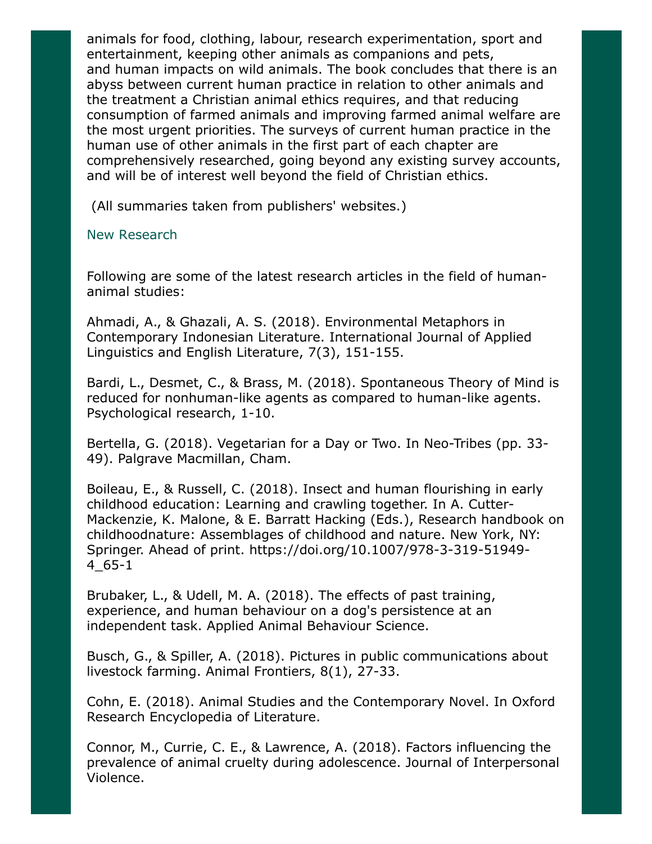animals for food, clothing, labour, research experimentation, sport and entertainment, keeping other animals as companions and pets, and human impacts on wild animals. The book concludes that there is an abyss between current human practice in relation to other animals and the treatment a Christian animal ethics requires, and that reducing consumption of farmed animals and improving farmed animal welfare are the most urgent priorities. The surveys of current human practice in the human use of other animals in the first part of each chapter are comprehensively researched, going beyond any existing survey accounts, and will be of interest well beyond the field of Christian ethics.

(All summaries taken from publishers' websites.)

### New Research

Following are some of the latest research articles in the field of humananimal studies:

Ahmadi, A., & Ghazali, A. S. (2018). Environmental Metaphors in Contemporary Indonesian Literature. International Journal of Applied Linguistics and English Literature, 7(3), 151-155.

Bardi, L., Desmet, C., & Brass, M. (2018). Spontaneous Theory of Mind is reduced for nonhuman-like agents as compared to human-like agents. Psychological research, 1-10.

Bertella, G. (2018). Vegetarian for a Day or Two. In Neo-Tribes (pp. 33- 49). Palgrave Macmillan, Cham.

Boileau, E., & Russell, C. (2018). Insect and human flourishing in early childhood education: Learning and crawling together. In A. Cutter-Mackenzie, K. Malone, & E. Barratt Hacking (Eds.), Research handbook on childhoodnature: Assemblages of childhood and nature. New York, NY: Springer. Ahead of print. https://doi.org/10.1007/978-3-319-51949- 4\_65-1

Brubaker, L., & Udell, M. A. (2018). The effects of past training, experience, and human behaviour on a dog's persistence at an independent task. Applied Animal Behaviour Science.

Busch, G., & Spiller, A. (2018). Pictures in public communications about livestock farming. Animal Frontiers, 8(1), 27-33.

Cohn, E. (2018). Animal Studies and the Contemporary Novel. In Oxford Research Encyclopedia of Literature.

Connor, M., Currie, C. E., & Lawrence, A. (2018). Factors influencing the prevalence of animal cruelty during adolescence. Journal of Interpersonal Violence.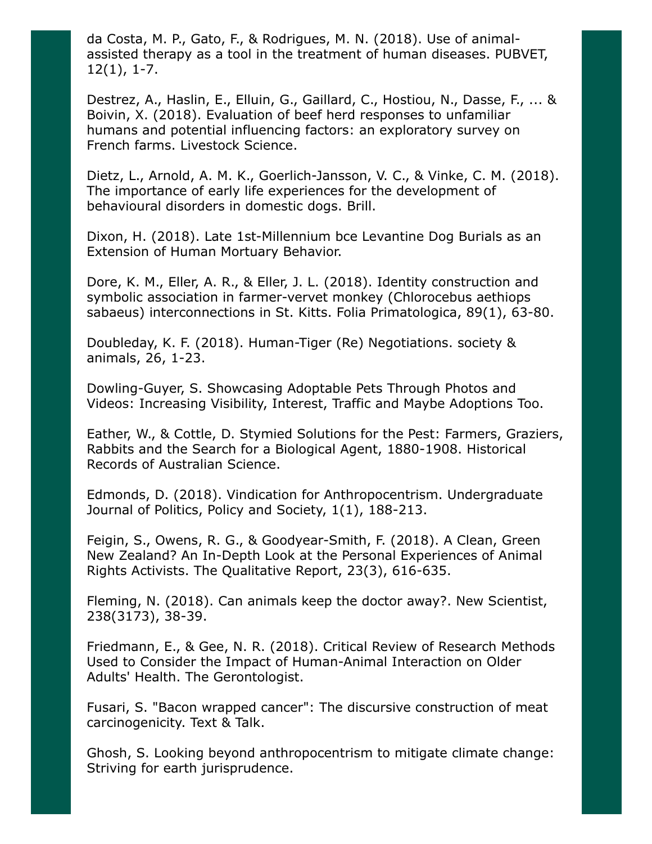da Costa, M. P., Gato, F., & Rodrigues, M. N. (2018). Use of animalassisted therapy as a tool in the treatment of human diseases. PUBVET, 12(1), 1-7.

Destrez, A., Haslin, E., Elluin, G., Gaillard, C., Hostiou, N., Dasse, F., ... & Boivin, X. (2018). Evaluation of beef herd responses to unfamiliar humans and potential influencing factors: an exploratory survey on French farms. Livestock Science.

Dietz, L., Arnold, A. M. K., Goerlich-Jansson, V. C., & Vinke, C. M. (2018). The importance of early life experiences for the development of behavioural disorders in domestic dogs. Brill.

Dixon, H. (2018). Late 1st-Millennium bce Levantine Dog Burials as an Extension of Human Mortuary Behavior.

Dore, K. M., Eller, A. R., & Eller, J. L. (2018). Identity construction and symbolic association in farmer-vervet monkey (Chlorocebus aethiops sabaeus) interconnections in St. Kitts. Folia Primatologica, 89(1), 63-80.

Doubleday, K. F. (2018). Human-Tiger (Re) Negotiations. society & animals, 26, 1-23.

Dowling-Guyer, S. Showcasing Adoptable Pets Through Photos and Videos: Increasing Visibility, Interest, Traffic and Maybe Adoptions Too.

Eather, W., & Cottle, D. Stymied Solutions for the Pest: Farmers, Graziers, Rabbits and the Search for a Biological Agent, 1880-1908. Historical Records of Australian Science.

Edmonds, D. (2018). Vindication for Anthropocentrism. Undergraduate Journal of Politics, Policy and Society, 1(1), 188-213.

Feigin, S., Owens, R. G., & Goodyear-Smith, F. (2018). A Clean, Green New Zealand? An In-Depth Look at the Personal Experiences of Animal Rights Activists. The Qualitative Report, 23(3), 616-635.

Fleming, N. (2018). Can animals keep the doctor away?. New Scientist, 238(3173), 38-39.

Friedmann, E., & Gee, N. R. (2018). Critical Review of Research Methods Used to Consider the Impact of Human-Animal Interaction on Older Adults' Health. The Gerontologist.

Fusari, S. "Bacon wrapped cancer": The discursive construction of meat carcinogenicity. Text & Talk.

Ghosh, S. Looking beyond anthropocentrism to mitigate climate change: Striving for earth jurisprudence.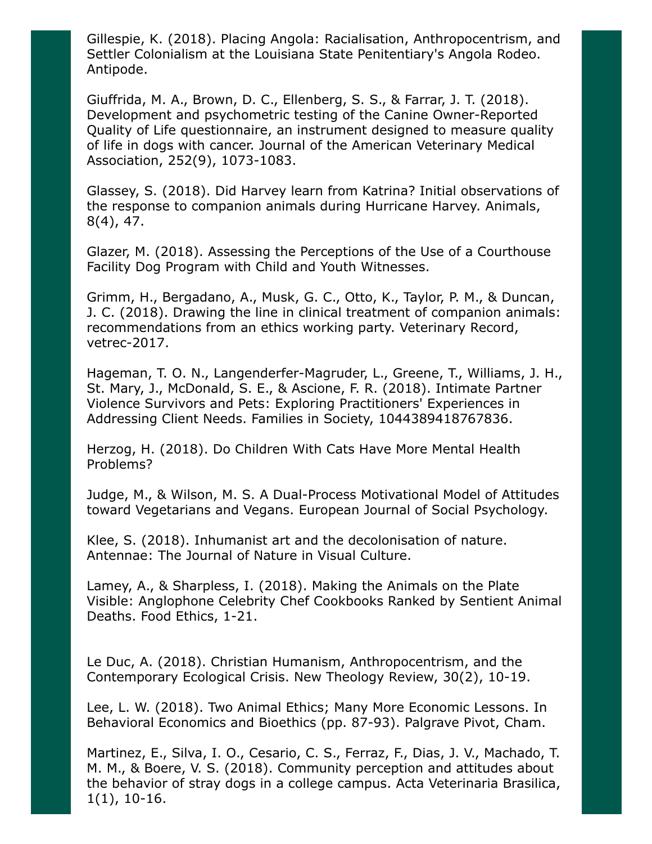Gillespie, K. (2018). Placing Angola: Racialisation, Anthropocentrism, and Settler Colonialism at the Louisiana State Penitentiary's Angola Rodeo. Antipode.

Giuffrida, M. A., Brown, D. C., Ellenberg, S. S., & Farrar, J. T. (2018). Development and psychometric testing of the Canine Owner-Reported Quality of Life questionnaire, an instrument designed to measure quality of life in dogs with cancer. Journal of the American Veterinary Medical Association, 252(9), 1073-1083.

Glassey, S. (2018). Did Harvey learn from Katrina? Initial observations of the response to companion animals during Hurricane Harvey. Animals, 8(4), 47.

Glazer, M. (2018). Assessing the Perceptions of the Use of a Courthouse Facility Dog Program with Child and Youth Witnesses.

Grimm, H., Bergadano, A., Musk, G. C., Otto, K., Taylor, P. M., & Duncan, J. C. (2018). Drawing the line in clinical treatment of companion animals: recommendations from an ethics working party. Veterinary Record, vetrec-2017.

Hageman, T. O. N., Langenderfer-Magruder, L., Greene, T., Williams, J. H., St. Mary, J., McDonald, S. E., & Ascione, F. R. (2018). Intimate Partner Violence Survivors and Pets: Exploring Practitioners' Experiences in Addressing Client Needs. Families in Society, 1044389418767836.

Herzog, H. (2018). Do Children With Cats Have More Mental Health Problems?

Judge, M., & Wilson, M. S. A Dual-Process Motivational Model of Attitudes toward Vegetarians and Vegans. European Journal of Social Psychology.

Klee, S. (2018). Inhumanist art and the decolonisation of nature. Antennae: The Journal of Nature in Visual Culture.

Lamey, A., & Sharpless, I. (2018). Making the Animals on the Plate Visible: Anglophone Celebrity Chef Cookbooks Ranked by Sentient Animal Deaths. Food Ethics, 1-21.

Le Duc, A. (2018). Christian Humanism, Anthropocentrism, and the Contemporary Ecological Crisis. New Theology Review, 30(2), 10-19.

Lee, L. W. (2018). Two Animal Ethics; Many More Economic Lessons. In Behavioral Economics and Bioethics (pp. 87-93). Palgrave Pivot, Cham.

Martinez, E., Silva, I. O., Cesario, C. S., Ferraz, F., Dias, J. V., Machado, T. M. M., & Boere, V. S. (2018). Community perception and attitudes about the behavior of stray dogs in a college campus. Acta Veterinaria Brasilica, 1(1), 10-16.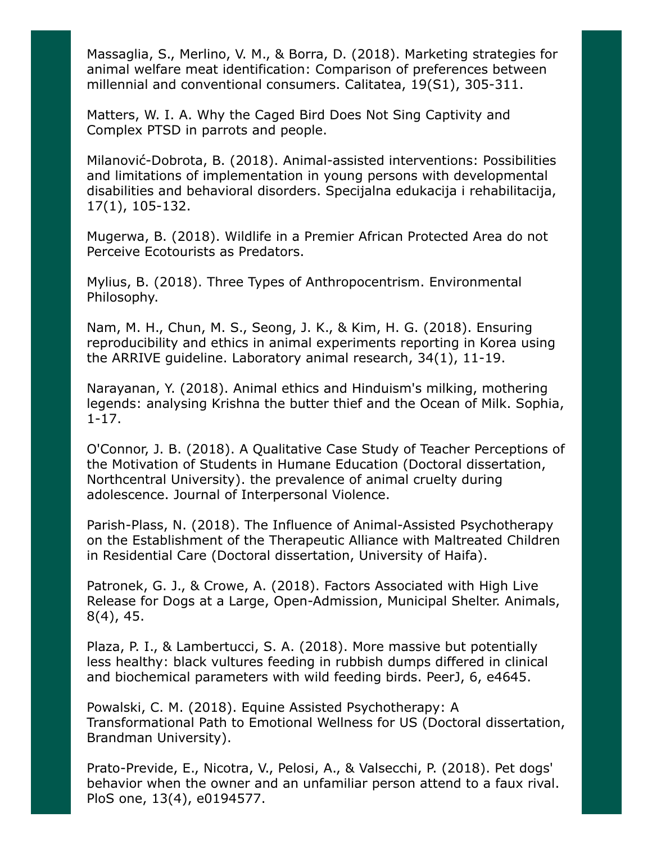Massaglia, S., Merlino, V. M., & Borra, D. (2018). Marketing strategies for animal welfare meat identification: Comparison of preferences between millennial and conventional consumers. Calitatea, 19(S1), 305-311.

Matters, W. I. A. Why the Caged Bird Does Not Sing Captivity and Complex PTSD in parrots and people.

Milanović-Dobrota, B. (2018). Animal-assisted interventions: Possibilities and limitations of implementation in young persons with developmental disabilities and behavioral disorders. Specijalna edukacija i rehabilitacija, 17(1), 105-132.

Mugerwa, B. (2018). Wildlife in a Premier African Protected Area do not Perceive Ecotourists as Predators.

Mylius, B. (2018). Three Types of Anthropocentrism. Environmental Philosophy.

Nam, M. H., Chun, M. S., Seong, J. K., & Kim, H. G. (2018). Ensuring reproducibility and ethics in animal experiments reporting in Korea using the ARRIVE guideline. Laboratory animal research, 34(1), 11-19.

Narayanan, Y. (2018). Animal ethics and Hinduism's milking, mothering legends: analysing Krishna the butter thief and the Ocean of Milk. Sophia, 1-17.

O'Connor, J. B. (2018). A Qualitative Case Study of Teacher Perceptions of the Motivation of Students in Humane Education (Doctoral dissertation, Northcentral University). the prevalence of animal cruelty during adolescence. Journal of Interpersonal Violence.

Parish-Plass, N. (2018). The Influence of Animal-Assisted Psychotherapy on the Establishment of the Therapeutic Alliance with Maltreated Children in Residential Care (Doctoral dissertation, University of Haifa).

Patronek, G. J., & Crowe, A. (2018). Factors Associated with High Live Release for Dogs at a Large, Open-Admission, Municipal Shelter. Animals, 8(4), 45.

Plaza, P. I., & Lambertucci, S. A. (2018). More massive but potentially less healthy: black vultures feeding in rubbish dumps differed in clinical and biochemical parameters with wild feeding birds. PeerJ, 6, e4645.

Powalski, C. M. (2018). Equine Assisted Psychotherapy: A Transformational Path to Emotional Wellness for US (Doctoral dissertation, Brandman University).

Prato-Previde, E., Nicotra, V., Pelosi, A., & Valsecchi, P. (2018). Pet dogs' behavior when the owner and an unfamiliar person attend to a faux rival. PloS one, 13(4), e0194577.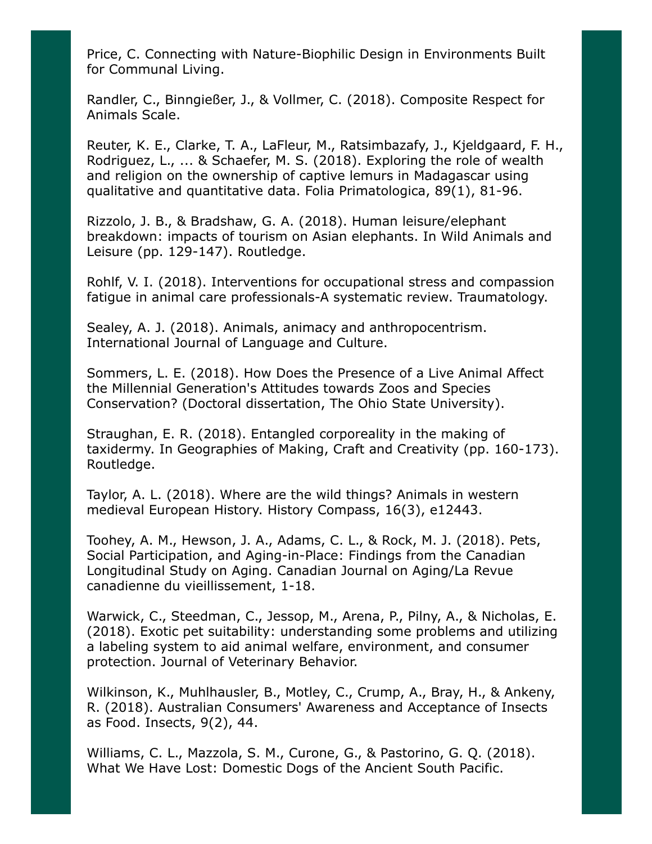Price, C. Connecting with Nature-Biophilic Design in Environments Built for Communal Living.

Randler, C., Binngießer, J., & Vollmer, C. (2018). Composite Respect for Animals Scale.

Reuter, K. E., Clarke, T. A., LaFleur, M., Ratsimbazafy, J., Kjeldgaard, F. H., Rodriguez, L., ... & Schaefer, M. S. (2018). Exploring the role of wealth and religion on the ownership of captive lemurs in Madagascar using qualitative and quantitative data. Folia Primatologica, 89(1), 81-96.

Rizzolo, J. B., & Bradshaw, G. A. (2018). Human leisure/elephant breakdown: impacts of tourism on Asian elephants. In Wild Animals and Leisure (pp. 129-147). Routledge.

Rohlf, V. I. (2018). Interventions for occupational stress and compassion fatigue in animal care professionals-A systematic review. Traumatology.

Sealey, A. J. (2018). Animals, animacy and anthropocentrism. International Journal of Language and Culture.

Sommers, L. E. (2018). How Does the Presence of a Live Animal Affect the Millennial Generation's Attitudes towards Zoos and Species Conservation? (Doctoral dissertation, The Ohio State University).

Straughan, E. R. (2018). Entangled corporeality in the making of taxidermy. In Geographies of Making, Craft and Creativity (pp. 160-173). Routledge.

Taylor, A. L. (2018). Where are the wild things? Animals in western medieval European History. History Compass, 16(3), e12443.

Toohey, A. M., Hewson, J. A., Adams, C. L., & Rock, M. J. (2018). Pets, Social Participation, and Aging-in-Place: Findings from the Canadian Longitudinal Study on Aging. Canadian Journal on Aging/La Revue canadienne du vieillissement, 1-18.

Warwick, C., Steedman, C., Jessop, M., Arena, P., Pilny, A., & Nicholas, E. (2018). Exotic pet suitability: understanding some problems and utilizing a labeling system to aid animal welfare, environment, and consumer protection. Journal of Veterinary Behavior.

Wilkinson, K., Muhlhausler, B., Motley, C., Crump, A., Bray, H., & Ankeny, R. (2018). Australian Consumers' Awareness and Acceptance of Insects as Food. Insects, 9(2), 44.

Williams, C. L., Mazzola, S. M., Curone, G., & Pastorino, G. Q. (2018). What We Have Lost: Domestic Dogs of the Ancient South Pacific.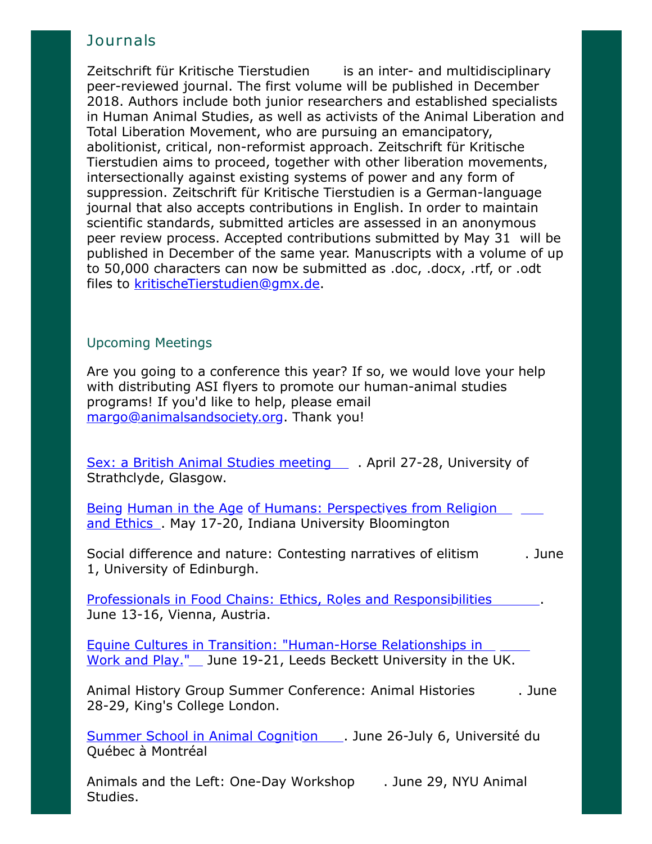# **Journals**

Zeitschrift für Kritische Tierstudien is an inter- and multidisciplinary peer-reviewed journal. The first volume will be published in December 2018. Authors include both junior researchers and established specialists in Human Animal Studies, as well as activists of the Animal Liberation and Total Liberation Movement, who are pursuing an emancipatory, abolitionist, critical, non-reformist approach. Zeitschrift für Kritische Tierstudien aims to proceed, together with other liberation movements, intersectionally against existing systems of power and any form of suppression. Zeitschrift für Kritische Tierstudien is a German-language journal that also accepts contributions in English. In order to maintain scientific standards, submitted articles are assessed in an anonymous peer review process. Accepted contributions submitted by May 31 will be published in December of the same year. Manuscripts with a volume of up to 50,000 characters can now be submitted as .doc, .docx, .rtf, or .odt files to [kritischeTierstudien@gmx.de](mailto:kritischeTierstudien@gmx.de).

## Upcoming Meetings

Are you going to a conference this year? If so, we would love your help with distributing ASI flyers to promote our human-animal studies programs! If you'd like to help, please email [margo@animalsandsociety.org](mailto:margo@animalsandsociety.org). Thank you!

[Sex: a British Animal Studies meeting](https://www.britishanimalstudiesnetwork.org.uk/FutureMeetings/Sex.aspx) . April 27-28, University of Strathclyde, Glasgow.

[Being Human in the Age of Humans: Perspectives from Religion](https://www.indiana.edu/~iucweb/beinghuman/) and Ethics . May 17-20, Indiana University Bloomington

Social difference and nature: Contesting narratives of elitism . June 1, University of Edinburgh.

[Professionals in Food Chains: Ethics, Roles and Responsibilities](https://www.vetmeduni.ac.at/de/eursafe2018/welcome/) . June 13-16, Vienna, Austria.

Equine Cultures in Transition: "Human-Horse Relationships in [Work and Play." June 19-21, Leeds Beckett University in the UK.](http://www.leedsbeckett.ac.uk/events/faculty-events/equine-cultures-in-transition/)

Animal History Group Summer Conference: Animal Histories . June 28-29, King's College London.

[Summer School in Animal Cognition](https://sites.grenadine.uqam.ca/sites/isc/en/summer18) . June 26-July 6, Université du Québec à Montréal

Animals and the Left: One-Day Workshop . June 29, NYU Animal Studies.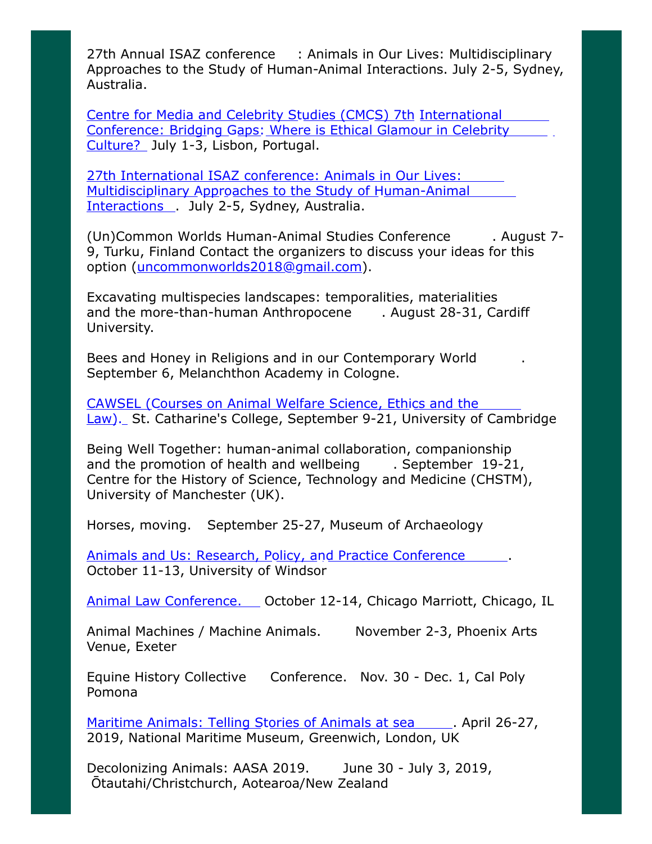27th Annual ISAZ conference : Animals in Our Lives: Multidisciplinary Approaches to the Study of Human-Animal Interactions. July 2-5, Sydney, Australia.

Centre for Media and Celebrity Studies (CMCS) 7th International [Conference: Bridging Gaps: Where is Ethical Glamour in Celebrity](http://cmc-centre.com/conferences/lisbon2018/) Culture? July 1-3, Lisbon, Portugal.

27th International ISAZ conference: Animals in Our Lives: [Multidisciplinary Approaches to the Study of Human-Animal](http://www.isaz2018.com/) Interactions . July 2-5, Sydney, Australia.

(Un)Common Worlds Human-Animal Studies Conference . August 7- 9, Turku, Finland Contact the organizers to discuss your ideas for this option ([uncommonworlds2018@gmail.com\)](mailto:uncommonworlds2018@gmail.com).

Excavating multispecies landscapes: temporalities, materialities and the more-than-human Anthropocene . August 28-31, Cardiff University.

Bees and Honey in Religions and in our Contemporary World . September 6, Melanchthon Academy in Cologne.

CAWSEL (Courses on Animal Welfare Science, Ethics and the [Law\). St. Catharine's College, September 9-21, University of Camb](http://cawsel.com/)ridge

Being Well Together: human-animal collaboration, companionship and the promotion of health and wellbeing . September 19-21, Centre for the History of Science, Technology and Medicine (CHSTM), University of Manchester (UK).

Horses, moving. September 25-27, Museum of Archaeology

[Animals and Us: Research, Policy, and Practice Conference](http://www.uwindsor.ca/aipabuseresearchgroup/315/conference-animals-and-us) ......... October 11-13, University of Windsor

[Animal Law Conference.](http://www.animallawconference.com/) Qctober 12-14, Chicago Marriott, Chicago, IL

Animal Machines / Machine Animals. November 2-3, Phoenix Arts Venue, Exeter

Equine History Collective Conference. Nov. 30 - Dec. 1, Cal Poly Pomona

[Maritime Animals: Telling Stories of Animals at sea](https://research.kent.ac.uk/kentanimalhumanitiesnetwork/maritime-animals-conference/) ... April 26-27, 2019, National Maritime Museum, Greenwich, London, UK

Decolonizing Animals: AASA 2019. June 30 - July 3, 2019, Ōtautahi/Christchurch, Aotearoa/New Zealand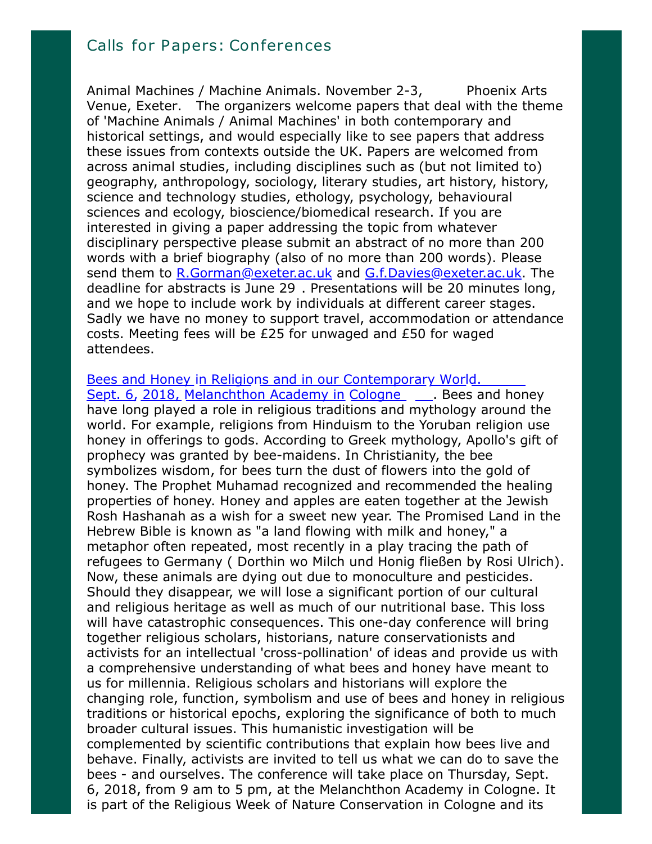Animal Machines / Machine Animals. November 2-3, Phoenix Arts Venue, Exeter. The organizers welcome papers that deal with the theme of 'Machine Animals / Animal Machines' in both contemporary and historical settings, and would especially like to see papers that address these issues from contexts outside the UK. Papers are welcomed from across animal studies, including disciplines such as (but not limited to) geography, anthropology, sociology, literary studies, art history, history, science and technology studies, ethology, psychology, behavioural sciences and ecology, bioscience/biomedical research. If you are interested in giving a paper addressing the topic from whatever disciplinary perspective please submit an abstract of no more than 200 words with a brief biography (also of no more than 200 words). Please send them to [R.Gorman@exeter.ac.uk](mailto:R.Gorman@exeter.ac.uk) and [G.f.Davies@exeter.ac.uk.](mailto:G.f.Davies@exeter.ac.uk) The deadline for abstracts is June 29 . Presentations will be 20 minutes long, and we hope to include work by individuals at different career stages. Sadly we have no money to support travel, accommodation or attendance costs. Meeting fees will be £25 for unwaged and £50 for waged attendees.

[Bees and Honey in Religions and in our Contemporary World.](http://abrahamisches-forum.de/) Sept. 6, 2018, Melanchthon Academy in Cologne . Bees and honey have long played a role in religious traditions and mythology around the world. For example, religions from Hinduism to the Yoruban religion use honey in offerings to gods. According to Greek mythology, Apollo's gift of prophecy was granted by bee-maidens. In Christianity, the bee symbolizes wisdom, for bees turn the dust of flowers into the gold of honey. The Prophet Muhamad recognized and recommended the healing properties of honey. Honey and apples are eaten together at the Jewish Rosh Hashanah as a wish for a sweet new year. The Promised Land in the Hebrew Bible is known as "a land flowing with milk and honey," a metaphor often repeated, most recently in a play tracing the path of refugees to Germany ( Dorthin wo Milch und Honig fließen by Rosi Ulrich). Now, these animals are dying out due to monoculture and pesticides. Should they disappear, we will lose a significant portion of our cultural and religious heritage as well as much of our nutritional base. This loss will have catastrophic consequences. This one-day conference will bring together religious scholars, historians, nature conservationists and activists for an intellectual 'cross-pollination' of ideas and provide us with a comprehensive understanding of what bees and honey have meant to us for millennia. Religious scholars and historians will explore the changing role, function, symbolism and use of bees and honey in religious traditions or historical epochs, exploring the significance of both to much broader cultural issues. This humanistic investigation will be complemented by scientific contributions that explain how bees live and behave. Finally, activists are invited to tell us what we can do to save the bees - and ourselves. The conference will take place on Thursday, Sept. 6, 2018, from 9 am to 5 pm, at the Melanchthon Academy in Cologne. It is part of the Religious Week of Nature Conservation in Cologne and its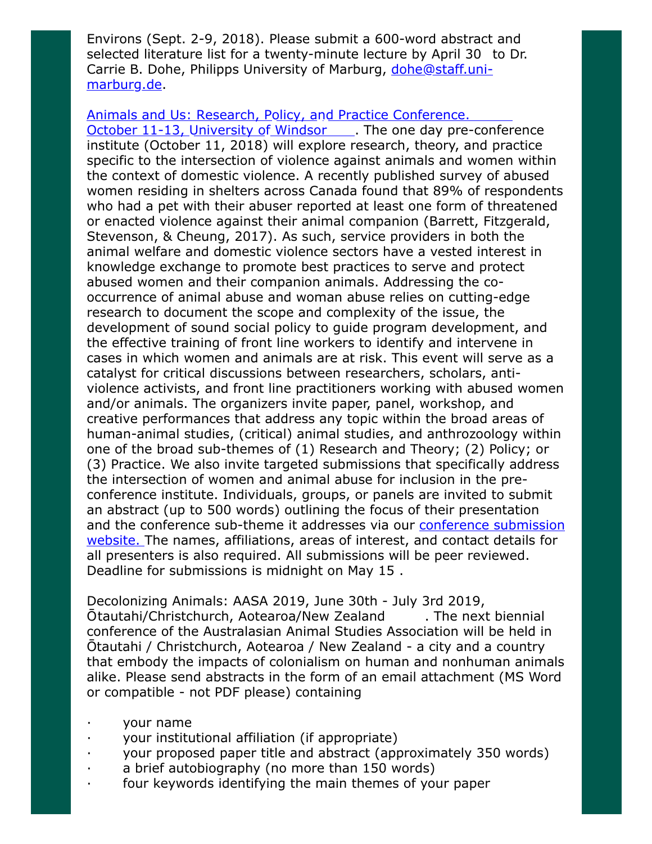Environs (Sept. 2-9, 2018). Please submit a 600-word abstract and selected literature list for a twenty-minute lecture by April 30 to Dr. [Carrie B. Dohe, Philipps University of Marburg, dohe@staff.uni](mailto:dohe@staff.uni-marburg.de)marburg.de.

[Animals and Us: Research, Policy, and Practice Conference.](http://www.uwindsor.ca/aipabuseresearchgroup/315/conference-animals-and-us)

October 11-13, University of Windsor . The one day pre-conference institute (October 11, 2018) will explore research, theory, and practice specific to the intersection of violence against animals and women within the context of domestic violence. A recently published survey of abused women residing in shelters across Canada found that 89% of respondents who had a pet with their abuser reported at least one form of threatened or enacted violence against their animal companion (Barrett, Fitzgerald, Stevenson, & Cheung, 2017). As such, service providers in both the animal welfare and domestic violence sectors have a vested interest in knowledge exchange to promote best practices to serve and protect abused women and their companion animals. Addressing the cooccurrence of animal abuse and woman abuse relies on cutting-edge research to document the scope and complexity of the issue, the development of sound social policy to guide program development, and the effective training of front line workers to identify and intervene in cases in which women and animals are at risk. This event will serve as a catalyst for critical discussions between researchers, scholars, antiviolence activists, and front line practitioners working with abused women and/or animals. The organizers invite paper, panel, workshop, and creative performances that address any topic within the broad areas of human-animal studies, (critical) animal studies, and anthrozoology within one of the broad sub-themes of (1) Research and Theory; (2) Policy; or (3) Practice. We also invite targeted submissions that specifically address the intersection of women and animal abuse for inclusion in the preconference institute. Individuals, groups, or panels are invited to submit an abstract (up to 500 words) outlining the focus of their presentation [and the conference sub-theme it addresses via our conference submission](https://scholar.uwindsor.ca/animalsandus) website. The names, affiliations, areas of interest, and contact details for all presenters is also required. All submissions will be peer reviewed. Deadline for submissions is midnight on May 15 .

Decolonizing Animals: AASA 2019, June 30th - July 3rd 2019, Ōtautahi/Christchurch, Aotearoa/New Zealand . The next biennial conference of the Australasian Animal Studies Association will be held in Ōtautahi / Christchurch, Aotearoa / New Zealand - a city and a country that embody the impacts of colonialism on human and nonhuman animals alike. Please send abstracts in the form of an email attachment (MS Word or compatible - not PDF please) containing

- · your name
- your institutional affiliation (if appropriate)
- · your proposed paper title and abstract (approximately 350 words)
- a brief autobiography (no more than 150 words)
- four keywords identifying the main themes of your paper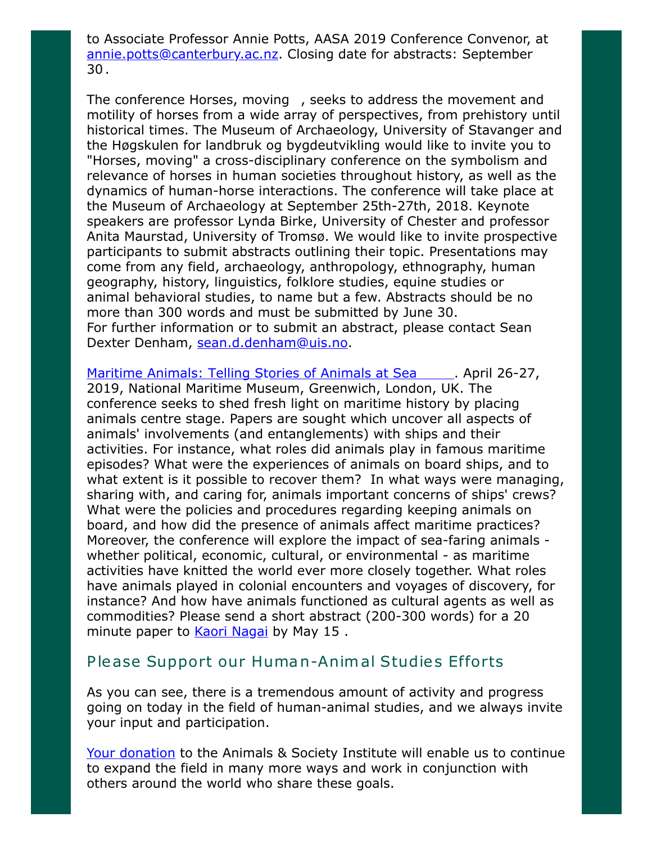to Associate Professor Annie Potts, AASA 2019 Conference Convenor, at [annie.potts@canterbury.ac.nz.](mailto:annie.potts@canterbury.ac.nz) Closing date for abstracts: September 30 .

The conference Horses, moving , seeks to address the movement and motility of horses from a wide array of perspectives, from prehistory until historical times. The Museum of Archaeology, University of Stavanger and the Høgskulen for landbruk og bygdeutvikling would like to invite you to "Horses, moving" a cross-disciplinary conference on the symbolism and relevance of horses in human societies throughout history, as well as the dynamics of human-horse interactions. The conference will take place at the Museum of Archaeology at September 25th-27th, 2018. Keynote speakers are professor Lynda Birke, University of Chester and professor Anita Maurstad, University of Tromsø. We would like to invite prospective participants to submit abstracts outlining their topic. Presentations may come from any field, archaeology, anthropology, ethnography, human geography, history, linguistics, folklore studies, equine studies or animal behavioral studies, to name but a few. Abstracts should be no more than 300 words and must be submitted by June 30. For further information or to submit an abstract, please contact Sean Dexter Denham, [sean.d.denham@uis.no.](mailto:sean.d.denham@uis.no)

[Maritime Animals: Telling Stories of Animals at Sea](https://research.kent.ac.uk/kentanimalhumanitiesnetwork/maritime-animals-conference/) ... April 26-27, 2019, National Maritime Museum, Greenwich, London, UK. The conference seeks to shed fresh light on maritime history by placing animals centre stage. Papers are sought which uncover all aspects of animals' involvements (and entanglements) with ships and their activities. For instance, what roles did animals play in famous maritime episodes? What were the experiences of animals on board ships, and to what extent is it possible to recover them? In what ways were managing, sharing with, and caring for, animals important concerns of ships' crews? What were the policies and procedures regarding keeping animals on board, and how did the presence of animals affect maritime practices? Moreover, the conference will explore the impact of sea-faring animals whether political, economic, cultural, or environmental - as maritime activities have knitted the world ever more closely together. What roles have animals played in colonial encounters and voyages of discovery, for instance? And how have animals functioned as cultural agents as well as commodities? Please send a short abstract (200-300 words) for a 20 minute paper to [Kaori Nagai](mailto:K.Nagai@kent.ac.uk) by May 15.

## Please Support our Human-Animal Studies Efforts

As you can see, there is a tremendous amount of activity and progress going on today in the field of human-animal studies, and we always invite your input and participation.

[Your donation](https://www.givedirect.org/donate/?cid=4552) to the Animals & Society Institute will enable us to continue to expand the field in many more ways and work in conjunction with others around the world who share these goals.